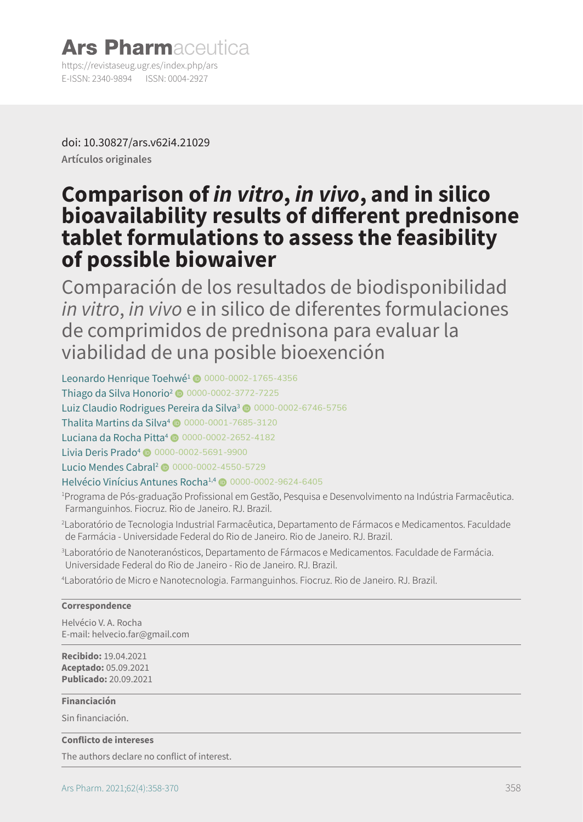### **Ars Pharmaceutica** https://revistaseug.ugr.es/index.php/ars E-ISSN: 2340-9894 ISSN: 0004-2927

doi: [10.30827/ars.v62i4.21029](http://doi.org/10.30827/ars.v62i4.21029) **Artículos originales**

# **Comparison of** *in vitro***,** *in vivo***, and in silico bioavailability results of different prednisone tablet formulations to assess the feasibility of possible biowaiver**

Comparación de los resultados de biodisponibilidad *in vitro*, *in vivo* e in silico de diferentes formulaciones de comprimidos de prednisona para evaluar la viabilidad de una posible bioexención

Leonardo Henrique Toehwé<sup>1</sup> @ 0000-0002-1765-4356 Thiago da Silva Honorio<sup>2</sup> © 0000-0002-3772-7225

Luiz Claudio Rodrigues Pereira da Silva<sup>3</sup> @ 0000-0002-6746-5756

Thalita Martins da Silva<sup>4</sup>  $\bullet$  0000-0001-7685-3120

Luciana da Rocha Pitta<sup>4</sup> © 0000-0002-2652-4182

Livia Deris Prado<sup>4</sup> ( 0000-0002-5691-9900

Lucio Mendes Cabral<sup>2</sup> <sup>0000-0002-4550-5729</sup>

### Helvécio Vinícius Antunes Rocha<sup>1,4</sup> @ 0000-0002-9624-6405

1 Programa de Pós-graduação Profissional em Gestão, Pesquisa e Desenvolvimento na Indústria Farmacêutica. Farmanguinhos. Fiocruz. Rio de Janeiro. RJ. Brazil.

2 Laboratório de Tecnologia Industrial Farmacêutica, Departamento de Fármacos e Medicamentos. Faculdade de Farmácia - Universidade Federal do Rio de Janeiro. Rio de Janeiro. RJ. Brazil.

3 Laboratório de Nanoteranósticos, Departamento de Fármacos e Medicamentos. Faculdade de Farmácia. Universidade Federal do Rio de Janeiro - Rio de Janeiro. RJ. Brazil.

4 Laboratório de Micro e Nanotecnologia. Farmanguinhos. Fiocruz. Rio de Janeiro. RJ. Brazil.

#### **Correspondence**

Helvécio V. A. Rocha E-mail: helvecio.far@gmail.com

**Recibido:** 19.04.2021 **Aceptado:** 05.09.2021 **Publicado:** 20.09.2021

**Financiación**

Sin financiación.

#### **Conflicto de intereses**

The authors declare no conflict of interest.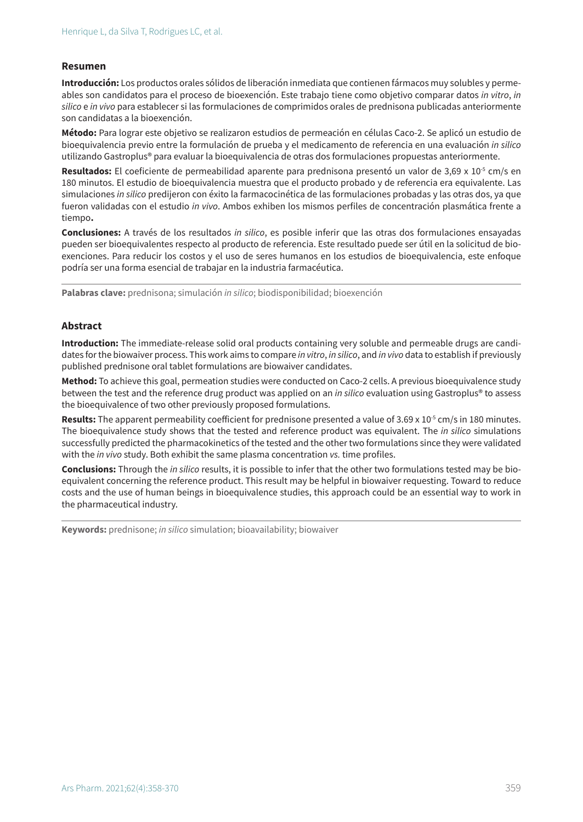#### **Resumen**

**Introducción:** Los productos orales sólidos de liberación inmediata que contienen fármacos muy solubles y permeables son candidatos para el proceso de bioexención. Este trabajo tiene como objetivo comparar datos *in vitro*, *in silico* e *in vivo* para establecer si las formulaciones de comprimidos orales de prednisona publicadas anteriormente son candidatas a la bioexención.

**Método:** Para lograr este objetivo se realizaron estudios de permeación en células Caco-2. Se aplicó un estudio de bioequivalencia previo entre la formulación de prueba y el medicamento de referencia en una evaluación *in silico* utilizando Gastroplus® para evaluar la bioequivalencia de otras dos formulaciones propuestas anteriormente.

Resultados: El coeficiente de permeabilidad aparente para prednisona presentó un valor de 3,69 x 10<sup>-5</sup> cm/s en 180 minutos. El estudio de bioequivalencia muestra que el producto probado y de referencia era equivalente. Las simulaciones *in silico* predijeron con éxito la farmacocinética de las formulaciones probadas y las otras dos, ya que fueron validadas con el estudio *in vivo*. Ambos exhiben los mismos perfiles de concentración plasmática frente a tiempo**.**

**Conclusiones:** A través de los resultados *in silico*, es posible inferir que las otras dos formulaciones ensayadas pueden ser bioequivalentes respecto al producto de referencia. Este resultado puede ser útil en la solicitud de bioexenciones. Para reducir los costos y el uso de seres humanos en los estudios de bioequivalencia, este enfoque podría ser una forma esencial de trabajar en la industria farmacéutica.

**Palabras clave:** prednisona; simulación *in silico*; biodisponibilidad; bioexención

#### **Abstract**

**Introduction:** The immediate-release solid oral products containing very soluble and permeable drugs are candidates for the biowaiver process. This work aims to compare *in vitro*, *in silico*, and *in vivo* data to establish if previously published prednisone oral tablet formulations are biowaiver candidates.

**Method:** To achieve this goal, permeation studies were conducted on Caco-2 cells. A previous bioequivalence study between the test and the reference drug product was applied on an *in silico* evaluation using Gastroplus® to assess the bioequivalence of two other previously proposed formulations.

**Results:** The apparent permeability coefficient for prednisone presented a value of 3.69 x 10<sup>-5</sup> cm/s in 180 minutes. The bioequivalence study shows that the tested and reference product was equivalent. The *in silico* simulations successfully predicted the pharmacokinetics of the tested and the other two formulations since they were validated with the *in vivo* study. Both exhibit the same plasma concentration *vs.* time profiles.

**Conclusions:** Through the *in silico* results, it is possible to infer that the other two formulations tested may be bioequivalent concerning the reference product. This result may be helpful in biowaiver requesting. Toward to reduce costs and the use of human beings in bioequivalence studies, this approach could be an essential way to work in the pharmaceutical industry.

**Keywords:** prednisone; *in silico* simulation; bioavailability; biowaiver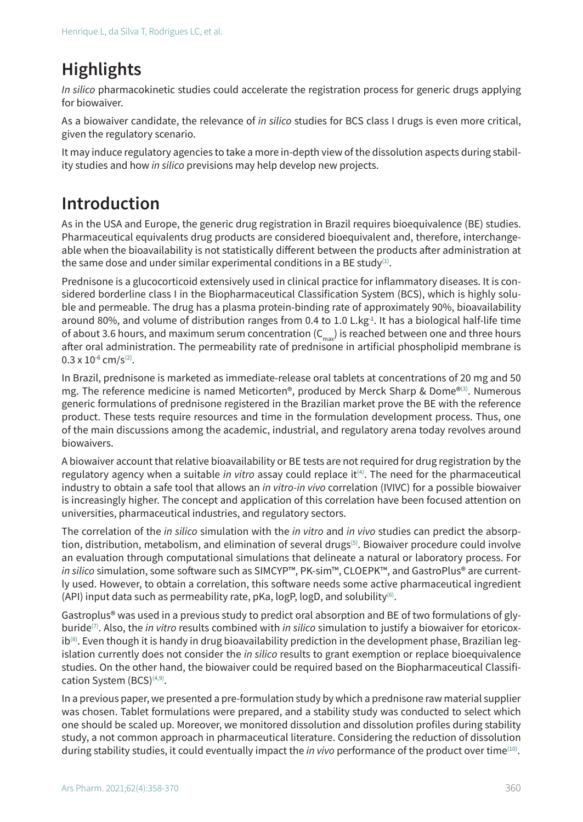# **Highlights**

*In silico* pharmacokinetic studies could accelerate the registration process for generic drugs applying for biowaiver.

As a biowaiver candidate, the relevance of *in silico* studies for BCS class I drugs is even more critical, given the regulatory scenario.

It may induce regulatory agencies to take a more in-depth view of the dissolution aspects during stability studies and how *in silico* previsions may help develop new projects.

# **Introduction**

As in the USA and Europe, the generic drug registration in Brazil requires bioequivalence (BE) studies. Pharmaceutical equivalents drug products are considered bioequivalent and, therefore, interchangeable when the bioavailability is not statistically different between the products after administration at the same dose and under similar experimental conditions in a BE study<sup>(1)</sup>.

Prednisone is a glucocorticoid extensively used in clinical practice for inflammatory diseases. It is considered borderline class I in the Biopharmaceutical Classification System (BCS), which is highly soluble and permeable. The drug has a plasma protein-binding rate of approximately 90%, bioavailability around 80%, and volume of distribution ranges from 0.4 to 1.0 L.kg<sup>-1</sup>. It has a biological half-life time of about 3.6 hours, and maximum serum concentration  $(C_{\text{max}})$  is reached between one and three hours after oral administration. The permeability rate of prednisone in artificial phospholipid membrane is  $0.3 \times 10^{-6}$  cm/s<sup>(2)</sup>.

In Brazil, prednisone is marketed as immediate-release oral tablets at concentrations of 20 mg and 50 mg. The reference medicine is named Meticorten®, produced by Merck Sharp & Dome®(3). Numerous generic formulations of prednisone registered in the Brazilian market prove the BE with the reference product. These tests require resources and time in the formulation development process. Thus, one of the main discussions among the academic, industrial, and regulatory arena today revolves around biowaivers.

A biowaiver account that relative bioavailability or BE tests are not required for drug registration by the regulatory agency when a suitable *in vitro* assay could replace it<sup>(4)</sup>. The need for the pharmaceutical industry to obtain a safe tool that allows an *in vitro-in vivo* correlation (IVIVC) for a possible biowaiver is increasingly higher. The concept and application of this correlation have been focused attention on universities, pharmaceutical industries, and regulatory sectors.

The correlation of the *in silico* simulation with the *in vitro* and *in vivo* studies can predict the absorption, distribution, metabolism, and elimination of several drugs<sup>(5)</sup>. Biowaiver procedure could involve an evaluation through computational simulations that delineate a natural or laboratory process. For *in silico* simulation, some software such as SIMCYP™, PK-sim™, CLOEPK™, and GastroPlus® are currently used. However, to obtain a correlation, this software needs some active pharmaceutical ingredient (API) input data such as permeability rate, pKa,  $log P$ ,  $log D$ , and solubility<sup>(6)</sup>.

Gastroplus® was used in a previous study to predict oral absorption and BE of two formulations of glyburide(7). Also, the *in vitro* results combined with *in silico* simulation to justify a biowaiver for etoricox $ib^{(8)}$ . Even though it is handy in drug bioavailability prediction in the development phase, Brazilian legislation currently does not consider the *in silico* results to grant exemption or replace bioequivalence studies. On the other hand, the biowaiver could be required based on the Biopharmaceutical Classification System (BCS)<sup>(4,9)</sup>.

In a previous paper, we presented a pre-formulation study by which a prednisone raw material supplier was chosen. Tablet formulations were prepared, and a stability study was conducted to select which one should be scaled up. Moreover, we monitored dissolution and dissolution profiles during stability study, a not common approach in pharmaceutical literature. Considering the reduction of dissolution during stability studies, it could eventually impact the *in vivo* performance of the product over time(10).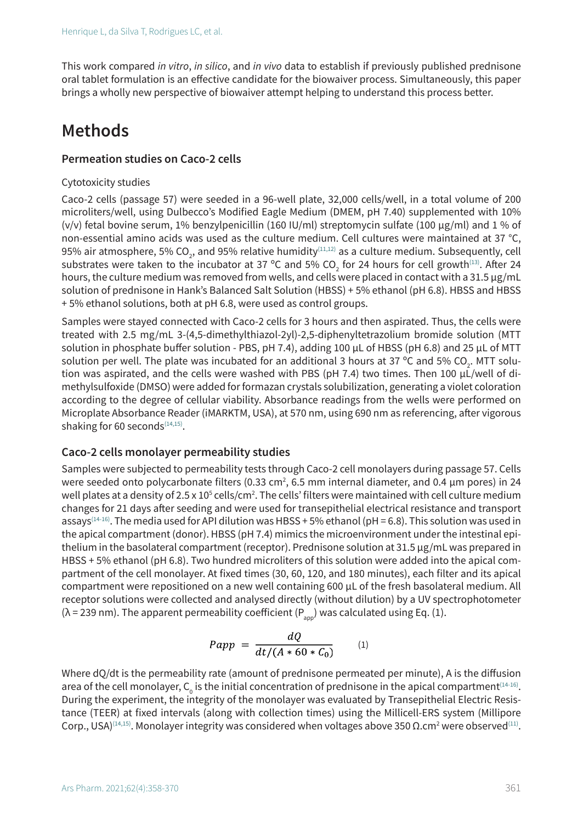This work compared *in vitro*, *in silico*, and *in vivo* data to establish if previously published prednisone oral tablet formulation is an effective candidate for the biowaiver process. Simultaneously, this paper brings a wholly new perspective of biowaiver attempt helping to understand this process better.

# **Methods**

#### **Permeation studies on Caco-2 cells**

#### Cytotoxicity studies

Caco-2 cells (passage 57) were seeded in a 96-well plate, 32,000 cells/well, in a total volume of 200 microliters/well, using Dulbecco's Modified Eagle Medium (DMEM, pH 7.40) supplemented with 10% (v/v) fetal bovine serum, 1% benzylpenicillin (160 IU/ml) streptomycin sulfate (100 μg/ml) and 1 % of non-essential amino acids was used as the culture medium. Cell cultures were maintained at 37 °C, 95% air atmosphere, 5% CO<sub>2</sub>, and 95% relative humidity $^{\scriptscriptstyle{(11,12)}}$  as a culture medium. Subsequently, cell substrates were taken to the incubator at 37 °C and 5% CO<sub>2</sub> for 24 hours for cell growth<sup>(13)</sup>. After 24 hours, the culture medium was removed from wells, and cells were placed in contact with a 31.5 μg/mL solution of prednisone in Hank's Balanced Salt Solution (HBSS) + 5% ethanol (pH 6.8). HBSS and HBSS + 5% ethanol solutions, both at pH 6.8, were used as control groups.

Samples were stayed connected with Caco-2 cells for 3 hours and then aspirated. Thus, the cells were treated with 2.5 mg/mL 3-(4,5-dimethylthiazol-2yl)-2,5-diphenyltetrazolium bromide solution (MTT solution in phosphate buffer solution - PBS, pH 7.4), adding 100 μL of HBSS (pH 6.8) and 25 μL of MTT solution per well. The plate was incubated for an additional 3 hours at 37 °C and 5% CO<sub>2</sub>. MTT solution was aspirated, and the cells were washed with PBS (pH 7.4) two times. Then 100 μL/well of dimethylsulfoxide (DMSO) were added for formazan crystals solubilization, generating a violet coloration according to the degree of cellular viability. Absorbance readings from the wells were performed on Microplate Absorbance Reader (iMARKTM, USA), at 570 nm, using 690 nm as referencing, after vigorous shaking for 60 seconds $(14,15)$ .

#### **Caco-2 cells monolayer permeability studies**

Samples were subjected to permeability tests through Caco-2 cell monolayers during passage 57. Cells were seeded onto polycarbonate filters (0.33 cm<sup>2</sup>, 6.5 mm internal diameter, and 0.4 µm pores) in 24 well plates at a density of 2.5 x 10<sup>5</sup> cells/cm<sup>2</sup>. The cells' filters were maintained with cell culture medium changes for 21 days after seeding and were used for transepithelial electrical resistance and transport assays<sup>(14-16)</sup>. The media used for API dilution was HBSS + 5% ethanol (pH = 6.8). This solution was used in the apical compartment (donor). HBSS (pH 7.4) mimics the microenvironment under the intestinal epithelium in the basolateral compartment (receptor). Prednisone solution at 31.5 μg/mL was prepared in HBSS + 5% ethanol (pH 6.8). Two hundred microliters of this solution were added into the apical compartment of the cell monolayer. At fixed times (30, 60, 120, and 180 minutes), each filter and its apical compartment were repositioned on a new well containing 600 µL of the fresh basolateral medium. All receptor solutions were collected and analysed directly (without dilution) by a UV spectrophotometer ( $\lambda$  = 239 nm). The apparent permeability coefficient (P<sub>app</sub>) was calculated using Eq. (1).

$$
Papp = \frac{dQ}{dt/(A * 60 * C_0)} \qquad (1)
$$

Where dQ/dt is the permeability rate (amount of prednisone permeated per minute), A is the diffusion area of the cell monolayer,  $\mathsf{C}_{{}_{0}}$  is the initial concentration of prednisone in the apical compartment $^{(14\text{-}16)}.$ During the experiment, the integrity of the monolayer was evaluated by Transepithelial Electric Resistance (TEER) at fixed intervals (along with collection times) using the Millicell-ERS system (Millipore Corp., USA) $^{(14,15)}$ . Monolayer integrity was considered when voltages above 350 Ω.cm² were observed $^{(11)}$ .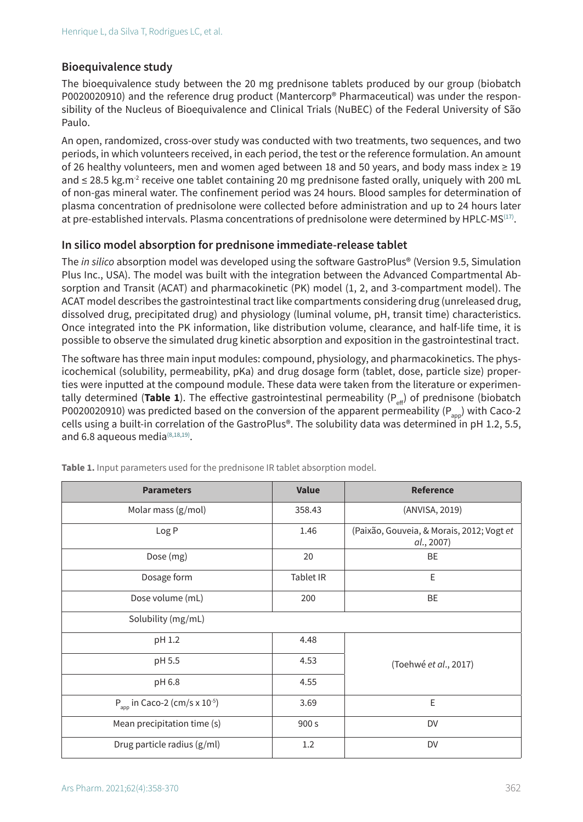### **Bioequivalence study**

The bioequivalence study between the 20 mg prednisone tablets produced by our group (biobatch P0020020910) and the reference drug product (Mantercorp® Pharmaceutical) was under the responsibility of the Nucleus of Bioequivalence and Clinical Trials (NuBEC) of the Federal University of São Paulo.

An open, randomized, cross-over study was conducted with two treatments, two sequences, and two periods, in which volunteers received, in each period, the test or the reference formulation. An amount of 26 healthy volunteers, men and women aged between 18 and 50 years, and body mass index ≥ 19 and  $\leq$  28.5 kg.m<sup>-2</sup> receive one tablet containing 20 mg prednisone fasted orally, uniquely with 200 mL of non-gas mineral water. The confinement period was 24 hours. Blood samples for determination of plasma concentration of prednisolone were collected before administration and up to 24 hours later at pre-established intervals. Plasma concentrations of prednisolone were determined by HPLC-MS<sup>(17)</sup>.

#### **In silico model absorption for prednisone immediate-release tablet**

The *in silico* absorption model was developed using the software GastroPlus® (Version 9.5, Simulation Plus Inc., USA). The model was built with the integration between the Advanced Compartmental Absorption and Transit (ACAT) and pharmacokinetic (PK) model (1, 2, and 3-compartment model). The ACAT model describes the gastrointestinal tract like compartments considering drug (unreleased drug, dissolved drug, precipitated drug) and physiology (luminal volume, pH, transit time) characteristics. Once integrated into the PK information, like distribution volume, clearance, and half-life time, it is possible to observe the simulated drug kinetic absorption and exposition in the gastrointestinal tract.

The software has three main input modules: compound, physiology, and pharmacokinetics. The physicochemical (solubility, permeability, pKa) and drug dosage form (tablet, dose, particle size) properties were inputted at the compound module. These data were taken from the literature or experimentally determined (**Table 1**). The effective gastrointestinal permeability  $(P_{\alpha})$  of prednisone (biobatch P0020020910) was predicted based on the conversion of the apparent permeability ( $P_{\text{app}}$ ) with Caco-2 cells using a built-in correlation of the GastroPlus®. The solubility data was determined in pH 1.2, 5.5, and 6.8 aqueous media $^{(8,18,19)}$ .

| <b>Parameters</b>                              | <b>Value</b> | <b>Reference</b>                                        |
|------------------------------------------------|--------------|---------------------------------------------------------|
| Molar mass (g/mol)                             | 358.43       | (ANVISA, 2019)                                          |
| Log P                                          | 1.46         | (Paixão, Gouveia, & Morais, 2012; Vogt et<br>al., 2007) |
| Dose (mg)                                      | 20           | BE                                                      |
| Dosage form                                    | Tablet IR    | E                                                       |
| Dose volume (mL)                               | 200          | BE                                                      |
| Solubility (mg/mL)                             |              |                                                         |
| pH 1.2                                         | 4.48         |                                                         |
| pH 5.5                                         | 4.53         | (Toehwé et al., 2017)                                   |
| pH 6.8                                         | 4.55         |                                                         |
| $P_{app}$ in Caco-2 (cm/s x 10 <sup>-5</sup> ) | 3.69         | E                                                       |
| Mean precipitation time (s)                    | 900 s        | DV                                                      |
| Drug particle radius (g/ml)                    | 1.2          | DV                                                      |

Table 1. Input parameters used for the prednisone IR tablet absorption model.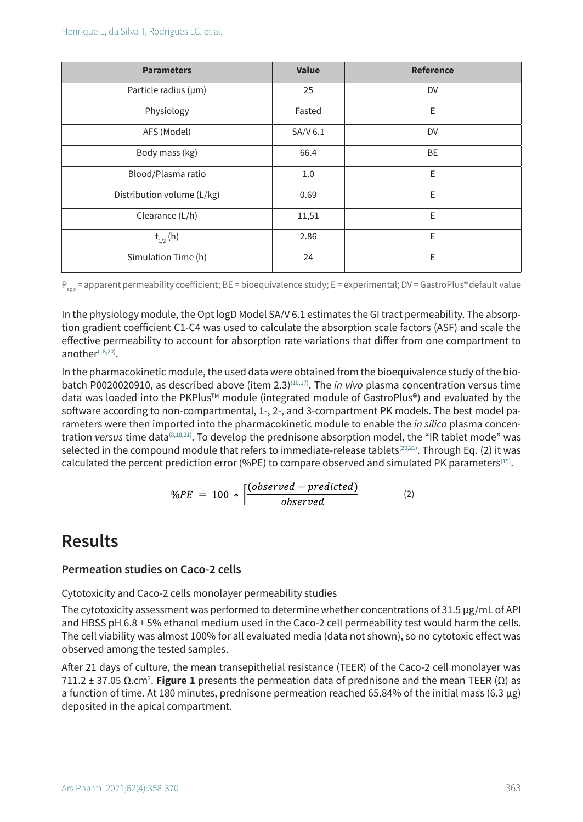| <b>Parameters</b>          | <b>Value</b> | <b>Reference</b> |
|----------------------------|--------------|------------------|
| Particle radius $(\mu m)$  | 25           | DV               |
| Physiology                 | Fasted       | E                |
| AFS (Model)                | SA/V 6.1     | DV               |
| Body mass (kg)             | 66.4         | <b>BE</b>        |
| Blood/Plasma ratio         | 1.0          | E                |
| Distribution volume (L/kg) | 0.69         | E                |
| Clearance (L/h)            | 11,51        | E                |
| $t_{1/2}$ (h)              | 2.86         | E                |
| Simulation Time (h)        | 24           | E                |

P<sub>app</sub> = apparent permeability coefficient; BE = bioequivalence study; E = experimental; DV = GastroPlus® default value

In the physiology module, the Opt logD Model SA/V 6.1 estimates the GI tract permeability. The absorption gradient coefficient C1-C4 was used to calculate the absorption scale factors (ASF) and scale the effective permeability to account for absorption rate variations that differ from one compartment to another $(18,20)$ .

In the pharmacokinetic module, the used data were obtained from the bioequivalence study of the biobatch P0020020910, as described above (item 2.3)(10,17). The *in vivo* plasma concentration versus time data was loaded into the PKPlus™ module (integrated module of GastroPlus®) and evaluated by the software according to non-compartmental, 1-, 2-, and 3-compartment PK models. The best model parameters were then imported into the pharmacokinetic module to enable the *in silico* plasma concentration *versus* time data(8,18,21). To develop the prednisone absorption model, the "IR tablet mode" was selected in the compound module that refers to immediate-release tablets<sup>(20,21)</sup>. Through Eq. (2) it was calculated the percent prediction error (%PE) to compare observed and simulated PK parameters<sup>(19)</sup>.

$$
\%PE = 100 * \left[ \frac{(observed-predicted)}{observed} \right] \tag{2}
$$

# **Results**

### **Permeation studies on Caco-2 cells**

Cytotoxicity and Caco-2 cells monolayer permeability studies

The cytotoxicity assessment was performed to determine whether concentrations of 31.5 μg/mL of API and HBSS pH 6.8 + 5% ethanol medium used in the Caco-2 cell permeability test would harm the cells. The cell viability was almost 100% for all evaluated media (data not shown), so no cytotoxic effect was observed among the tested samples.

After 21 days of culture, the mean transepithelial resistance (TEER) of the Caco-2 cell monolayer was 711.2 ± 37.05 Ω.cm<sup>2</sup> . **Figure 1** presents the permeation data of prednisone and the mean TEER (Ω) as a function of time. At 180 minutes, prednisone permeation reached 65.84% of the initial mass (6.3  $\mu$ g) deposited in the apical compartment.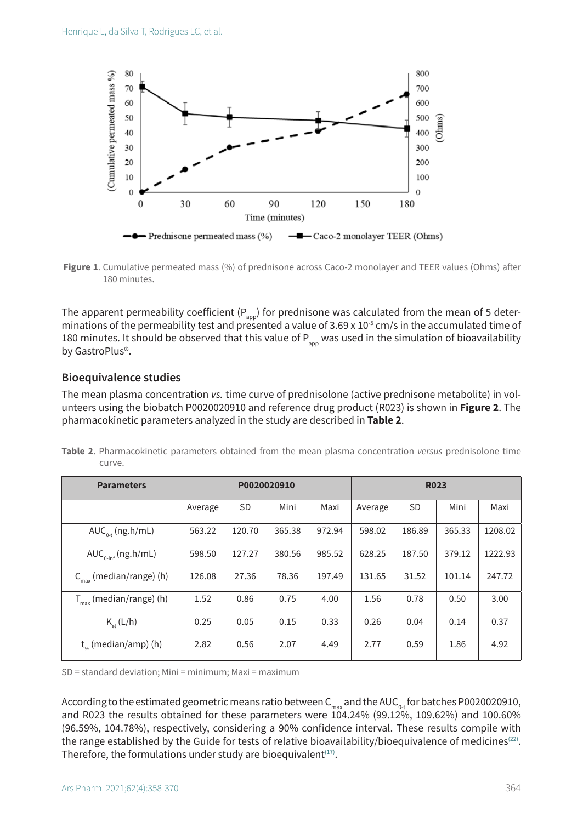

**Figure 1**. Cumulative permeated mass (%) of prednisone across Caco-2 monolayer and TEER values (Ohms) after 180 minutes.

The apparent permeability coefficient ( $P_{\text{app}}$ ) for prednisone was calculated from the mean of 5 determinations of the permeability test and presented a value of 3.69 x 10<sup>-5</sup> cm/s in the accumulated time of 180 minutes. It should be observed that this value of  $P_{\text{app}}$  was used in the simulation of bioavailability by GastroPlus®.

#### **Bioequivalence studies**

The mean plasma concentration *vs.* time curve of prednisolone (active prednisone metabolite) in volunteers using the biobatch P0020020910 and reference drug product (R023) is shown in **Figure 2**. The pharmacokinetic parameters analyzed in the study are described in **Table 2**.

| <b>Parameters</b>                   | P0020020910 |           |        |        | <b>R023</b> |           |        |         |
|-------------------------------------|-------------|-----------|--------|--------|-------------|-----------|--------|---------|
|                                     | Average     | <b>SD</b> | Mini   | Maxi   | Average     | <b>SD</b> | Mini   | Maxi    |
| $AUC_{0,t}$ (ng.h/mL)               | 563.22      | 120.70    | 365.38 | 972.94 | 598.02      | 186.89    | 365.33 | 1208.02 |
| $AUC_{\text{right}}(ng.h/mL)$       | 598.50      | 127.27    | 380.56 | 985.52 | 628.25      | 187.50    | 379.12 | 1222.93 |
| $C_{\text{max}}$ (median/range) (h) | 126.08      | 27.36     | 78.36  | 197.49 | 131.65      | 31.52     | 101.14 | 247.72  |
| $T_{max}$ (median/range) (h)        | 1.52        | 0.86      | 0.75   | 4.00   | 1.56        | 0.78      | 0.50   | 3.00    |
| $K_{\text{el}}(L/h)$                | 0.25        | 0.05      | 0.15   | 0.33   | 0.26        | 0.04      | 0.14   | 0.37    |
| $t_{\alpha}$ (median/amp) (h)       | 2.82        | 0.56      | 2.07   | 4.49   | 2.77        | 0.59      | 1.86   | 4.92    |

**Table 2**. Pharmacokinetic parameters obtained from the mean plasma concentration *versus* prednisolone time curve.

SD = standard deviation; Mini = minimum; Maxi = maximum

According to the estimated geometric means ratio between  $C_{max}$  and the AUC<sub>0-t</sub> for batches P0020020910, and R023 the results obtained for these parameters were 104.24% (99.12%, 109.62%) and 100.60% (96.59%, 104.78%), respectively, considering a 90% confidence interval. These results compile with the range established by the Guide for tests of relative bioavailability/bioequivalence of medicines<sup>(22)</sup>. Therefore, the formulations under study are bioequivalent $(17)$ .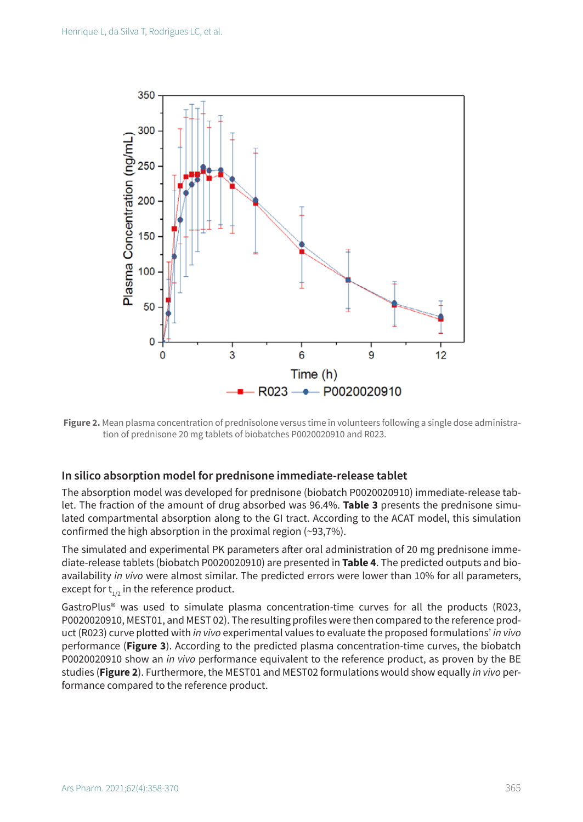

**Figure 2.** Mean plasma concentration of prednisolone versus time in volunteers following a single dose administration of prednisone 20 mg tablets of biobatches P0020020910 and R023.

#### **In silico absorption model for prednisone immediate-release tablet**

The absorption model was developed for prednisone (biobatch P0020020910) immediate-release tablet. The fraction of the amount of drug absorbed was 96.4%. **Table 3** presents the prednisone simulated compartmental absorption along to the GI tract. According to the ACAT model, this simulation confirmed the high absorption in the proximal region (~93,7%).

The simulated and experimental PK parameters after oral administration of 20 mg prednisone immediate-release tablets (biobatch P0020020910) are presented in **Table 4**. The predicted outputs and bioavailability *in vivo* were almost similar. The predicted errors were lower than 10% for all parameters, except for  $t_{1/2}$  in the reference product.

GastroPlus® was used to simulate plasma concentration-time curves for all the products (R023, P0020020910, MEST01, and MEST 02). The resulting profiles were then compared to the reference product (R023) curve plotted with *in vivo* experimental values to evaluate the proposed formulations' *in vivo* performance (**Figure 3**). According to the predicted plasma concentration-time curves, the biobatch P0020020910 show an *in vivo* performance equivalent to the reference product, as proven by the BE studies (**Figure 2**). Furthermore, the MEST01 and MEST02 formulations would show equally *in vivo* performance compared to the reference product.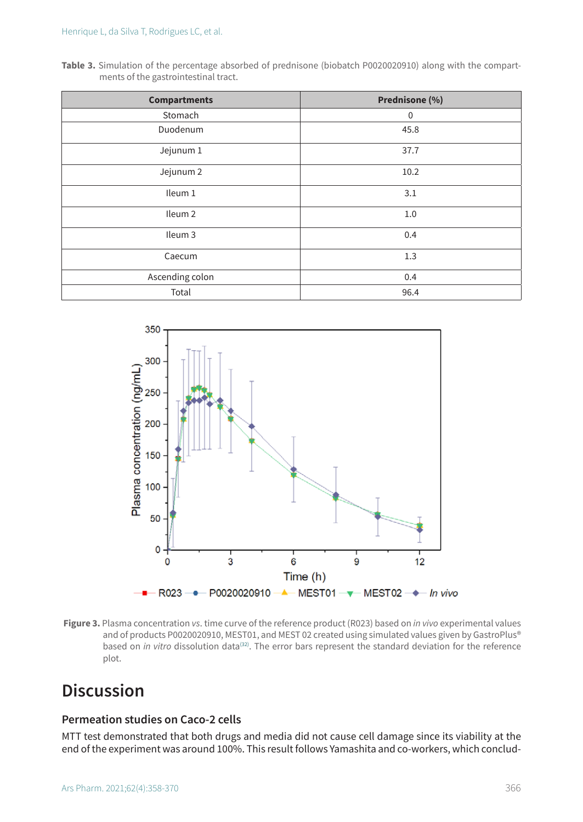**Table 3.** Simulation of the percentage absorbed of prednisone (biobatch P0020020910) along with the compartments of the gastrointestinal tract.

| <b>Compartments</b> | Prednisone (%) |
|---------------------|----------------|
| Stomach             | $\mathbf 0$    |
| Duodenum            | 45.8           |
| Jejunum 1           | 37.7           |
| Jejunum 2           | 10.2           |
| Ileum 1             | 3.1            |
| Ileum <sub>2</sub>  | 1.0            |
| Ileum <sub>3</sub>  | 0.4            |
| Caecum              | 1.3            |
| Ascending colon     | 0.4            |
| Total               | 96.4           |



**Figure 3.** Plasma concentration *vs*. time curve of the reference product (R023) based on *in vivo* experimental values and of products P0020020910, MEST01, and MEST 02 created using simulated values given by GastroPlus® based on *in vitro* dissolution data<sup>(32)</sup>. The error bars represent the standard deviation for the reference plot.

# **Discussion**

#### **Permeation studies on Caco-2 cells**

MTT test demonstrated that both drugs and media did not cause cell damage since its viability at the end of the experiment was around 100%. This result follows Yamashita and co-workers, which conclud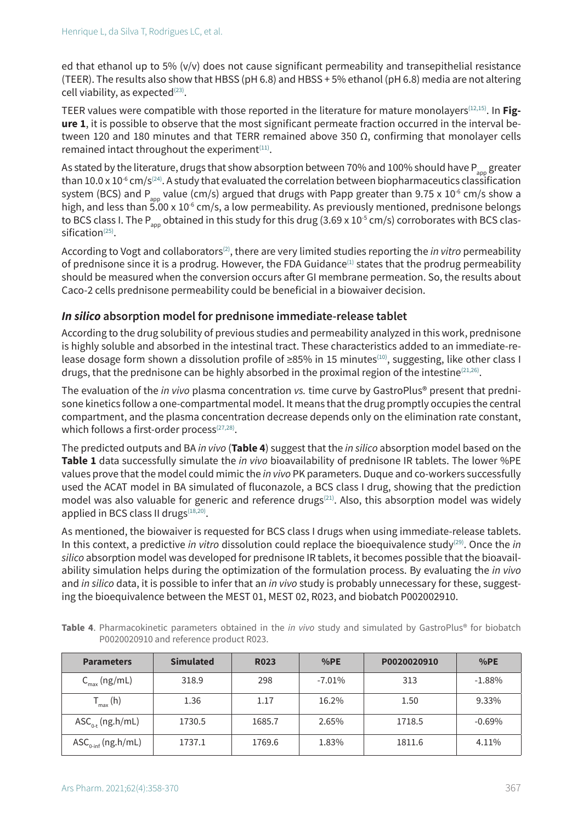ed that ethanol up to 5% (v/v) does not cause significant permeability and transepithelial resistance (TEER). The results also show that HBSS (pH 6.8) and HBSS + 5% ethanol (pH 6.8) media are not altering cell viability, as expected $(23)$ .

TEER values were compatible with those reported in the literature for mature monolayers(12,15). In **Figure 1**, it is possible to observe that the most significant permeate fraction occurred in the interval between 120 and 180 minutes and that TERR remained above 350 Ω, confirming that monolayer cells remained intact throughout the experiment $(11)$ .

As stated by the literature, drugs that show absorption between 70% and 100% should have P<sub>app</sub> greater than 10.0 x 10 $^6$  cm/s<sup>(24)</sup>. A study that evaluated the correlation between biopharmaceutics classification system (BCS) and P<sub>app</sub> value (cm/s) argued that drugs with Papp greater than 9.75 x 10<sup>-6</sup> cm/s show a high, and less than  $\frac{25.00 \times 10^{-6} \text{ cm/s}}{s}$ , a low permeability. As previously mentioned, prednisone belongs to BCS class I. The P<sub>app</sub> obtained in this study for this drug (3.69 x 10<sup>-5</sup> cm/s) corroborates with BCS classification<sup>(25)</sup>.

According to Vogt and collaborators(2), there are very limited studies reporting the *in vitro* permeability of prednisone since it is a prodrug. However, the FDA Guidance<sup>(1)</sup> states that the prodrug permeability should be measured when the conversion occurs after GI membrane permeation. So, the results about Caco-2 cells prednisone permeability could be beneficial in a biowaiver decision.

### *In silico* **absorption model for prednisone immediate-release tablet**

According to the drug solubility of previous studies and permeability analyzed in this work, prednisone is highly soluble and absorbed in the intestinal tract. These characteristics added to an immediate-release dosage form shown a dissolution profile of ≥85% in 15 minutes(10), suggesting, like other class I drugs, that the prednisone can be highly absorbed in the proximal region of the intestine<sup>(21,26)</sup>.

The evaluation of the *in vivo* plasma concentration *vs.* time curve by GastroPlus® present that prednisone kinetics follow a one-compartmental model. It means that the drug promptly occupies the central compartment, and the plasma concentration decrease depends only on the elimination rate constant, which follows a first-order process $(27,28)$ .

The predicted outputs and BA *in vivo* (**Table 4**) suggest that the *in silico* absorption model based on the **Table 1** data successfully simulate the *in vivo* bioavailability of prednisone IR tablets. The lower %PE values prove that the model could mimic the *in vivo* PK parameters. Duque and co-workers successfully used the ACAT model in BA simulated of fluconazole, a BCS class I drug, showing that the prediction model was also valuable for generic and reference drugs $(21)$ . Also, this absorption model was widely applied in BCS class II drugs $(18,20)$ .

As mentioned, the biowaiver is requested for BCS class I drugs when using immediate-release tablets. In this context, a predictive *in vitro* dissolution could replace the bioequivalence study(29). Once the *in silico* absorption model was developed for prednisone IR tablets, it becomes possible that the bioavailability simulation helps during the optimization of the formulation process. By evaluating the *in vivo* and *in silico* data, it is possible to infer that an *in vivo* study is probably unnecessary for these, suggesting the bioequivalence between the MEST 01, MEST 02, R023, and biobatch P002002910.

| <b>Parameters</b>                                                 | <b>Simulated</b> | <b>R023</b> | %PE      | P0020020910 | %PE      |
|-------------------------------------------------------------------|------------------|-------------|----------|-------------|----------|
| $C_{\text{max}}$ (ng/mL)                                          | 318.9            | 298         | $-7.01%$ | 313         | $-1.88%$ |
| $T_{\text{max}}$ (h)                                              | 1.36             | 1.17        | 16.2%    | 1.50        | 9.33%    |
| $\text{ASC}_{0+}$ (ng.h/mL)                                       | 1730.5           | 1685.7      | 2.65%    | 1718.5      | $-0.69%$ |
| $\mathsf{ASC}_{0\text{-inf}}(\mathsf{ng}.\mathsf{h}/\mathsf{mL})$ | 1737.1           | 1769.6      | 1.83%    | 1811.6      | 4.11%    |

**Table 4**. Pharmacokinetic parameters obtained in the *in vivo* study and simulated by GastroPlus® for biobatch P0020020910 and reference product R023.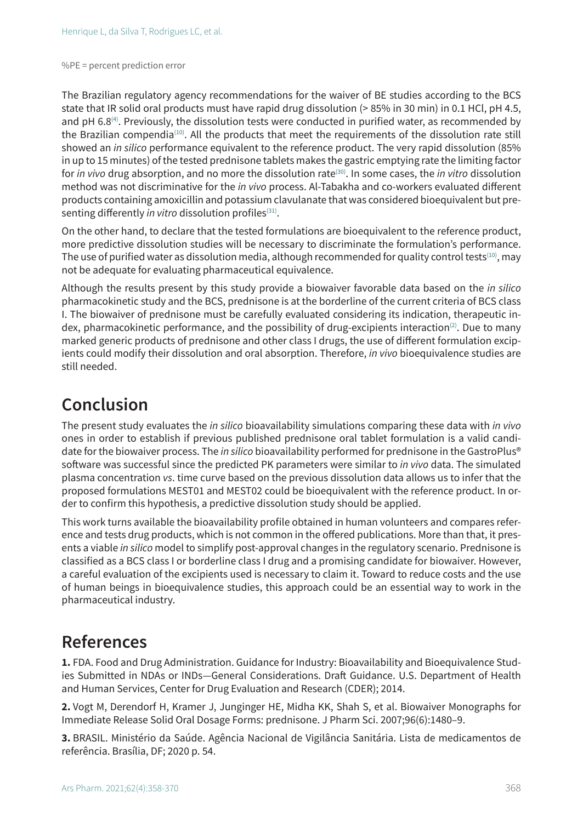The Brazilian regulatory agency recommendations for the waiver of BE studies according to the BCS state that IR solid oral products must have rapid drug dissolution (> 85% in 30 min) in 0.1 HCl, pH 4.5, and pH  $6.8^{(4)}$ . Previously, the dissolution tests were conducted in purified water, as recommended by the Brazilian compendia(10). All the products that meet the requirements of the dissolution rate still showed an *in silico* performance equivalent to the reference product. The very rapid dissolution (85% in up to 15 minutes) of the tested prednisone tablets makes the gastric emptying rate the limiting factor for *in vivo* drug absorption, and no more the dissolution rate(30). In some cases, the *in vitro* dissolution method was not discriminative for the *in vivo* process. Al-Tabakha and co-workers evaluated different products containing amoxicillin and potassium clavulanate that was considered bioequivalent but presenting differently *in vitro* dissolution profiles<sup>(31)</sup>.

On the other hand, to declare that the tested formulations are bioequivalent to the reference product, more predictive dissolution studies will be necessary to discriminate the formulation's performance. The use of purified water as dissolution media, although recommended for quality control tests<sup>(10)</sup>, may not be adequate for evaluating pharmaceutical equivalence.

Although the results present by this study provide a biowaiver favorable data based on the *in silico* pharmacokinetic study and the BCS, prednisone is at the borderline of the current criteria of BCS class I. The biowaiver of prednisone must be carefully evaluated considering its indication, therapeutic index, pharmacokinetic performance, and the possibility of drug-excipients interaction<sup>(2)</sup>. Due to many marked generic products of prednisone and other class I drugs, the use of different formulation excipients could modify their dissolution and oral absorption. Therefore, *in vivo* bioequivalence studies are still needed.

# **Conclusion**

The present study evaluates the *in silico* bioavailability simulations comparing these data with *in vivo* ones in order to establish if previous published prednisone oral tablet formulation is a valid candidate for the biowaiver process. The *in silico* bioavailability performed for prednisone in the GastroPlus® software was successful since the predicted PK parameters were similar to *in vivo* data. The simulated plasma concentration *vs*. time curve based on the previous dissolution data allows us to infer that the proposed formulations MEST01 and MEST02 could be bioequivalent with the reference product. In order to confirm this hypothesis, a predictive dissolution study should be applied.

This work turns available the bioavailability profile obtained in human volunteers and compares reference and tests drug products, which is not common in the offered publications. More than that, it presents a viable *in silico* model to simplify post-approval changes in the regulatory scenario. Prednisone is classified as a BCS class I or borderline class I drug and a promising candidate for biowaiver. However, a careful evaluation of the excipients used is necessary to claim it. Toward to reduce costs and the use of human beings in bioequivalence studies, this approach could be an essential way to work in the pharmaceutical industry.

## **References**

**1.** FDA. Food and Drug Administration. Guidance for Industry: Bioavailability and Bioequivalence Studies Submitted in NDAs or INDs—General Considerations. Draft Guidance. U.S. Department of Health and Human Services, Center for Drug Evaluation and Research (CDER); 2014.

**2.** Vogt M, Derendorf H, Kramer J, Junginger HE, Midha KK, Shah S, et al. Biowaiver Monographs for Immediate Release Solid Oral Dosage Forms: prednisone. J Pharm Sci. 2007;96(6):1480–9.

**3.** BRASIL. Ministério da Saúde. Agência Nacional de Vigilância Sanitária. Lista de medicamentos de referência. Brasília, DF; 2020 p. 54.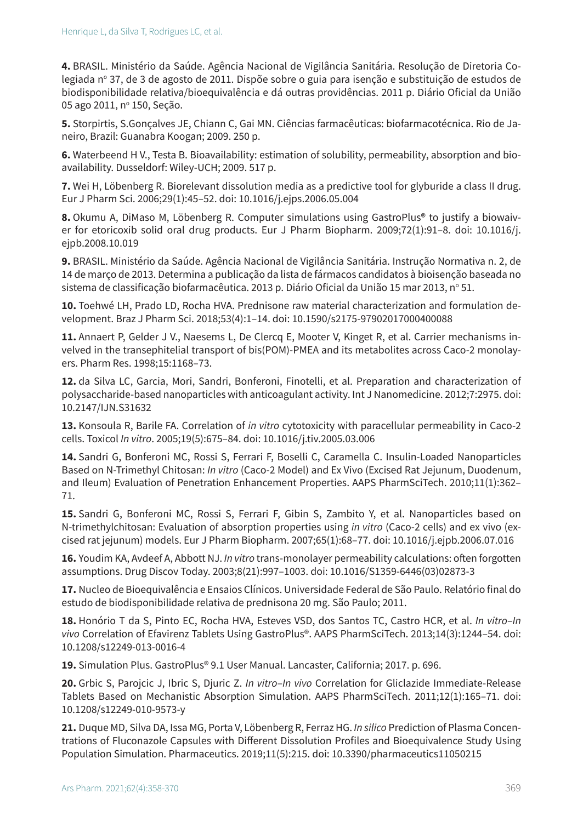**4.** BRASIL. Ministério da Saúde. Agência Nacional de Vigilância Sanitária. Resolução de Diretoria Colegiada nº 37, de 3 de agosto de 2011. Dispõe sobre o guia para isenção e substituição de estudos de biodisponibilidade relativa/bioequivalência e dá outras providências. 2011 p. Diário Oficial da União 05 ago 2011, nº 150, Seção.

**5.** Storpirtis, S.Gonçalves JE, Chiann C, Gai MN. Ciências farmacêuticas: biofarmacotécnica. Rio de Janeiro, Brazil: Guanabra Koogan; 2009. 250 p.

**6.** Waterbeend H V., Testa B. Bioavailability: estimation of solubility, permeability, absorption and bioavailability. Dusseldorf: Wiley-UCH; 2009. 517 p.

**7.** Wei H, Löbenberg R. Biorelevant dissolution media as a predictive tool for glyburide a class II drug. Eur J Pharm Sci. 2006;29(1):45–52. doi: 10.1016/j.ejps.2006.05.004

**8.** Okumu A, DiMaso M, Löbenberg R. Computer simulations using GastroPlus® to justify a biowaiver for etoricoxib solid oral drug products. Eur J Pharm Biopharm. 2009;72(1):91–8. doi: 10.1016/j. ejpb.2008.10.019

**9.** BRASIL. Ministério da Saúde. Agência Nacional de Vigilância Sanitária. Instrução Normativa n. 2, de 14 de março de 2013. Determina a publicação da lista de fármacos candidatos à bioisenção baseada no sistema de classificação biofarmacêutica. 2013 p. Diário Oficial da União 15 mar 2013, nº 51.

**10.** Toehwé LH, Prado LD, Rocha HVA. Prednisone raw material characterization and formulation development. Braz J Pharm Sci. 2018;53(4):1–14. doi: 10.1590/s2175-97902017000400088

**11.** Annaert P, Gelder J V., Naesems L, De Clercq E, Mooter V, Kinget R, et al. Carrier mechanisms invelved in the transephitelial transport of bis(POM)-PMEA and its metabolites across Caco-2 monolayers. Pharm Res. 1998;15:1168–73.

**12.** da Silva LC, Garcia, Mori, Sandri, Bonferoni, Finotelli, et al. Preparation and characterization of polysaccharide-based nanoparticles with anticoagulant activity. Int J Nanomedicine. 2012;7:2975. doi: 10.2147/IJN.S31632

**13.** Konsoula R, Barile FA. Correlation of *in vitro* cytotoxicity with paracellular permeability in Caco-2 cells. Toxicol *In vitro*. 2005;19(5):675–84. doi: 10.1016/j.tiv.2005.03.006

**14.** Sandri G, Bonferoni MC, Rossi S, Ferrari F, Boselli C, Caramella C. Insulin-Loaded Nanoparticles Based on N-Trimethyl Chitosan: *In vitro* (Caco-2 Model) and Ex Vivo (Excised Rat Jejunum, Duodenum, and Ileum) Evaluation of Penetration Enhancement Properties. AAPS PharmSciTech. 2010;11(1):362– 71.

**15.** Sandri G, Bonferoni MC, Rossi S, Ferrari F, Gibin S, Zambito Y, et al. Nanoparticles based on N-trimethylchitosan: Evaluation of absorption properties using *in vitro* (Caco-2 cells) and ex vivo (excised rat jejunum) models. Eur J Pharm Biopharm. 2007;65(1):68–77. doi: 10.1016/j.ejpb.2006.07.016

**16.** Youdim KA, Avdeef A, Abbott NJ. *In vitro* trans-monolayer permeability calculations: often forgotten assumptions. Drug Discov Today. 2003;8(21):997–1003. doi: 10.1016/S1359-6446(03)02873-3

**17.** Nucleo de Bioequivalência e Ensaios Clínicos. Universidade Federal de São Paulo. Relatório final do estudo de biodisponibilidade relativa de prednisona 20 mg. São Paulo; 2011.

**18.** Honório T da S, Pinto EC, Rocha HVA, Esteves VSD, dos Santos TC, Castro HCR, et al. *In vitro*–*In vivo* Correlation of Efavirenz Tablets Using GastroPlus®. AAPS PharmSciTech. 2013;14(3):1244–54. doi: 10.1208/s12249-013-0016-4

**19.** Simulation Plus. GastroPlus® 9.1 User Manual. Lancaster, California; 2017. p. 696.

**20.** Grbic S, Parojcic J, Ibric S, Djuric Z. *In vitro*–*In vivo* Correlation for Gliclazide Immediate-Release Tablets Based on Mechanistic Absorption Simulation. AAPS PharmSciTech. 2011;12(1):165–71. doi: 10.1208/s12249-010-9573-y

**21.** Duque MD, Silva DA, Issa MG, Porta V, Löbenberg R, Ferraz HG. *In silico* Prediction of Plasma Concentrations of Fluconazole Capsules with Different Dissolution Profiles and Bioequivalence Study Using Population Simulation. Pharmaceutics. 2019;11(5):215. doi: 10.3390/pharmaceutics11050215